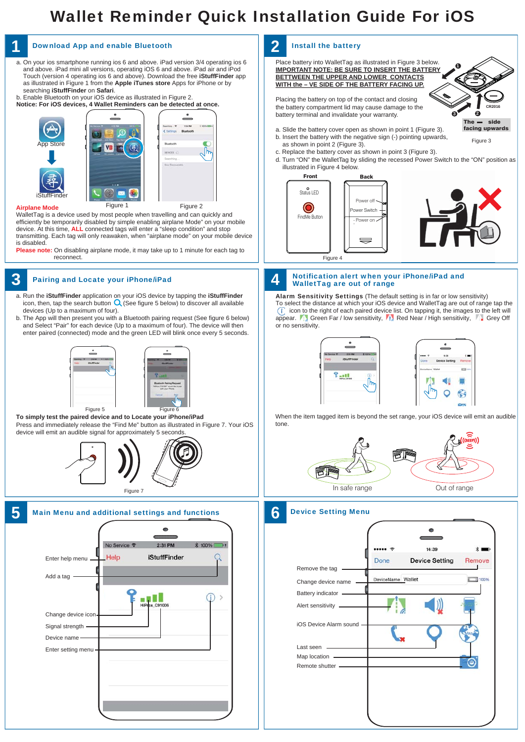## Wallet Reminder Quick Installation Guide For iOS

**CR2016**



Battery indicator

Change device name

DeviceName Wallet

00%

Alert sensitivity

iOS Device Alarm sound

Last seen

Map location Remote shutter